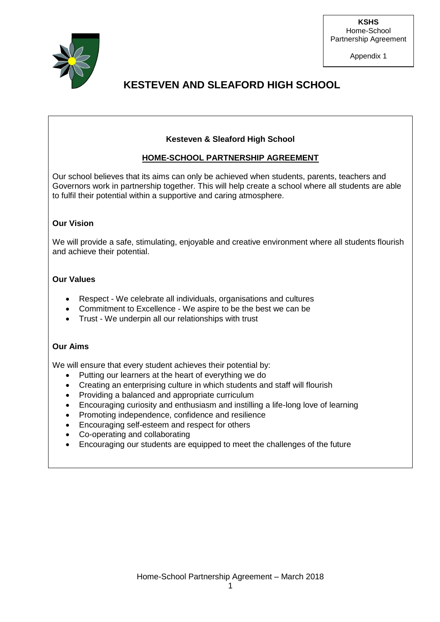

Appendix 1

## **KESTEVEN AND SLEAFORD HIGH SCHOOL**

### **Kesteven & Sleaford High School**

### **HOME-SCHOOL PARTNERSHIP AGREEMENT**

Our school believes that its aims can only be achieved when students, parents, teachers and Governors work in partnership together. This will help create a school where all students are able to fulfil their potential within a supportive and caring atmosphere.

### **Our Vision**

We will provide a safe, stimulating, enjoyable and creative environment where all students flourish and achieve their potential.

### **Our Values**

- Respect We celebrate all individuals, organisations and cultures
- Commitment to Excellence We aspire to be the best we can be
- Trust We underpin all our relationships with trust

### **Our Aims**

We will ensure that every student achieves their potential by:

- Putting our learners at the heart of everything we do
- Creating an enterprising culture in which students and staff will flourish
- Providing a balanced and appropriate curriculum
- Encouraging curiosity and enthusiasm and instilling a life-long love of learning
- Promoting independence, confidence and resilience
- Encouraging self-esteem and respect for others
- Co-operating and collaborating
- Encouraging our students are equipped to meet the challenges of the future